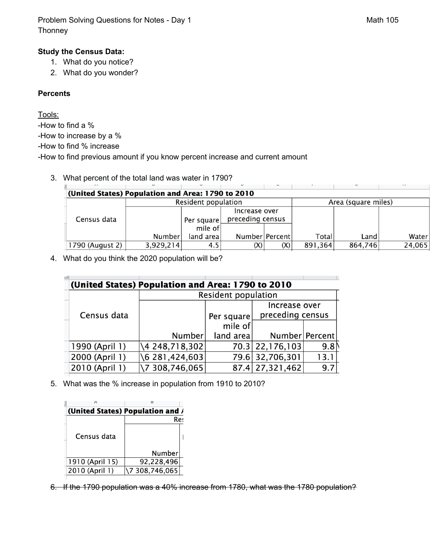Problem Solving Questions for Notes - Day 1 Math 105 **Thonney** 

## **Study the Census Data:**

- 1. What do you notice?
- 2. What do you wonder?

## **Percents**

Tools:

-How to find a %

-How to increase by a %

-How to find % increase

-How to find previous amount if you know percent increase and current amount

3. What percent of the total land was water in 1790?

| (United States) Population and Area: 1790 to 2010 |                 |                                |            |                |     |                     |         |        |  |
|---------------------------------------------------|-----------------|--------------------------------|------------|----------------|-----|---------------------|---------|--------|--|
|                                                   |                 | Resident population            |            |                |     | Area (square miles) |         |        |  |
|                                                   |                 |                                |            | Increase over  |     |                     |         |        |  |
|                                                   | Census data     | preceding census<br>Per square |            |                |     |                     |         |        |  |
|                                                   |                 |                                | mile of    |                |     |                     |         |        |  |
|                                                   |                 | Number                         | land areal | Number Percent |     | Total               | Land    | Water  |  |
|                                                   | 1790 (August 2) | 3,929,214                      | 4.5        | (X)            | (X) | 891,364             | 864,746 | 24,065 |  |
|                                                   |                 |                                |            |                |     |                     |         |        |  |

4. What do you think the 2020 population will be?

| (United States) Population and Area: 1790 to 2010 |                        |            |                   |      |  |  |  |  |
|---------------------------------------------------|------------------------|------------|-------------------|------|--|--|--|--|
|                                                   | Resident population    |            |                   |      |  |  |  |  |
|                                                   |                        |            | Increase over     |      |  |  |  |  |
| Census data                                       |                        | Per square | preceding census  |      |  |  |  |  |
|                                                   |                        | mile of    |                   |      |  |  |  |  |
|                                                   | Number                 | land area  | Number Percent    |      |  |  |  |  |
| 1990 (April 1)                                    | \4 248,718,302         |            | 70.3 22, 176, 103 | 9.8  |  |  |  |  |
| 2000 (April 1)                                    | $\{6, 281, 424, 603\}$ |            | 79.6 32,706,301   | 13.1 |  |  |  |  |
| 2010 (April 1)                                    | \7 308,746,065         |            | 87.4 27,321,462   | 9.7  |  |  |  |  |

5. What was the % increase in population from 1910 to 2010?

| А               |                                  |  |  |  |
|-----------------|----------------------------------|--|--|--|
|                 | (United States) Population and / |  |  |  |
|                 | Res                              |  |  |  |
| Census data     |                                  |  |  |  |
|                 | Number                           |  |  |  |
| 1910 (April 15) | 92,228,496                       |  |  |  |
| 2010 (April 1)  | \7 308,746,065                   |  |  |  |

6. If the 1790 population was a 40% increase from 1780, what was the 1780 population?